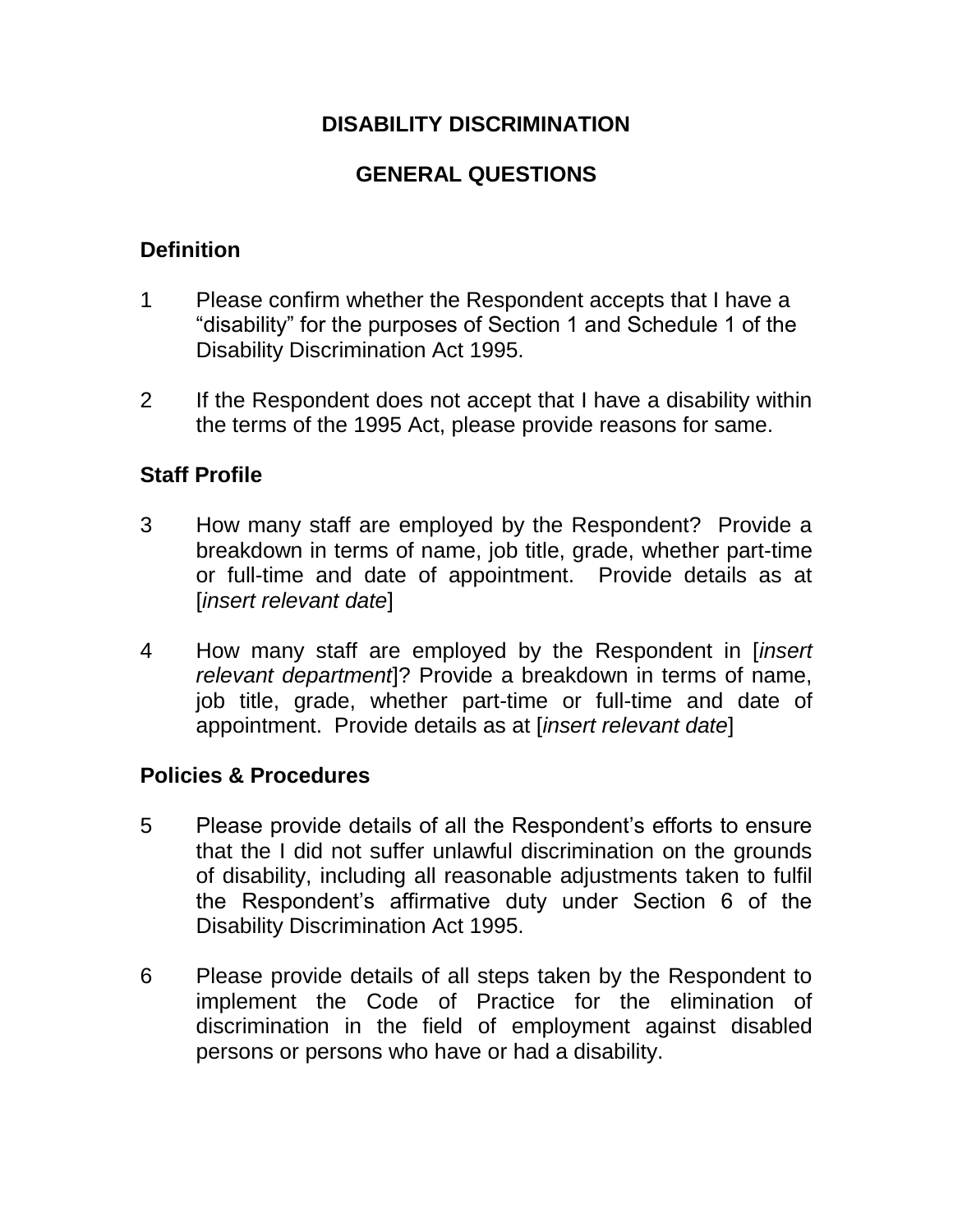### **DISABILITY DISCRIMINATION**

# **GENERAL QUESTIONS**

## **Definition**

- 1 Please confirm whether the Respondent accepts that I have a "disability" for the purposes of Section 1 and Schedule 1 of the Disability Discrimination Act 1995.
- 2 If the Respondent does not accept that I have a disability within the terms of the 1995 Act, please provide reasons for same.

## **Staff Profile**

- 3 How many staff are employed by the Respondent? Provide a breakdown in terms of name, job title, grade, whether part-time or full-time and date of appointment. Provide details as at [*insert relevant date*]
- 4 How many staff are employed by the Respondent in [*insert relevant department*]? Provide a breakdown in terms of name, job title, grade, whether part-time or full-time and date of appointment. Provide details as at [*insert relevant date*]

### **Policies & Procedures**

- 5 Please provide details of all the Respondent's efforts to ensure that the I did not suffer unlawful discrimination on the grounds of disability, including all reasonable adjustments taken to fulfil the Respondent's affirmative duty under Section 6 of the Disability Discrimination Act 1995.
- 6 Please provide details of all steps taken by the Respondent to implement the Code of Practice for the elimination of discrimination in the field of employment against disabled persons or persons who have or had a disability.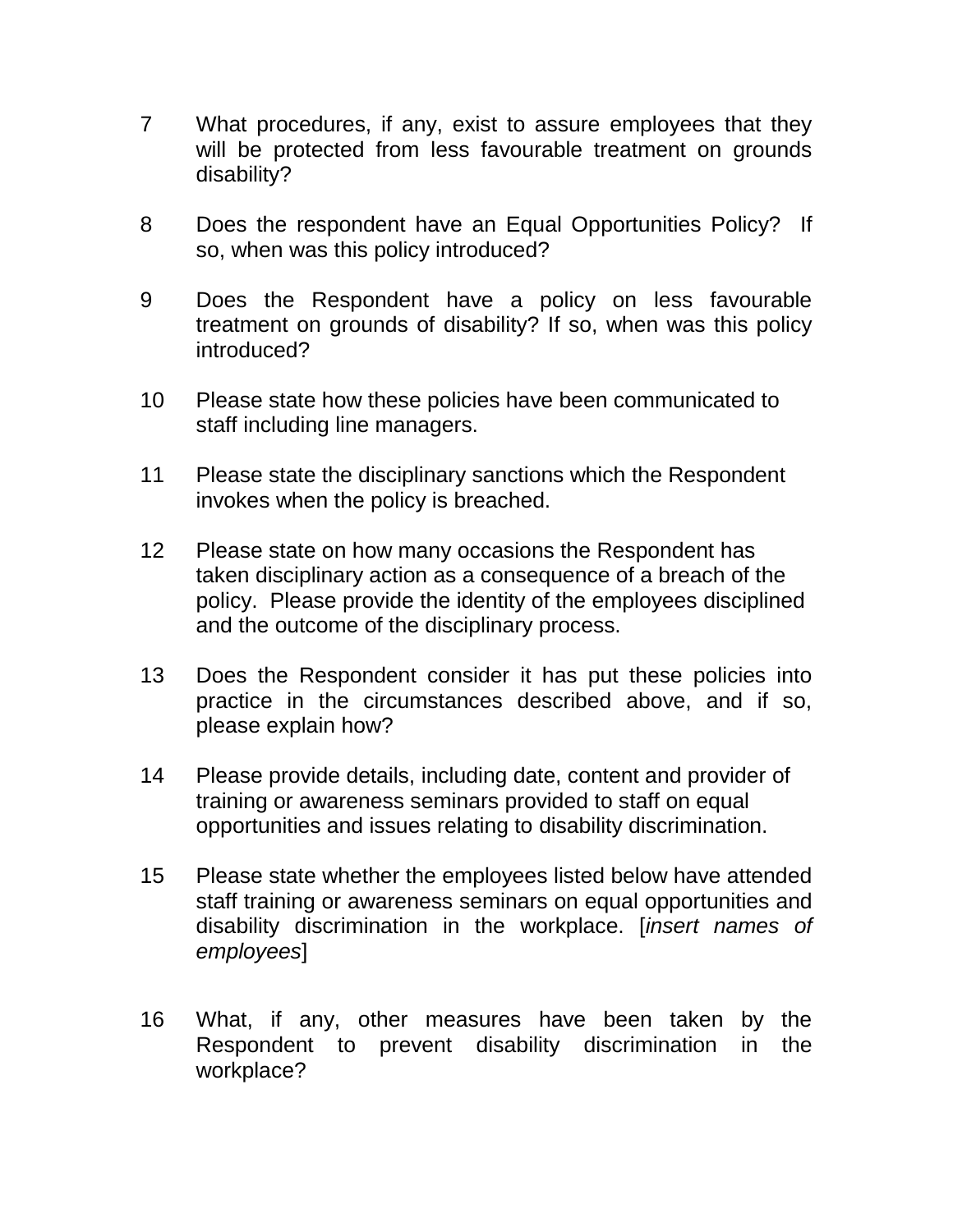- 7 What procedures, if any, exist to assure employees that they will be protected from less favourable treatment on grounds disability?
- 8 Does the respondent have an Equal Opportunities Policy? If so, when was this policy introduced?
- 9 Does the Respondent have a policy on less favourable treatment on grounds of disability? If so, when was this policy introduced?
- 10 Please state how these policies have been communicated to staff including line managers.
- 11 Please state the disciplinary sanctions which the Respondent invokes when the policy is breached.
- 12 Please state on how many occasions the Respondent has taken disciplinary action as a consequence of a breach of the policy. Please provide the identity of the employees disciplined and the outcome of the disciplinary process.
- 13 Does the Respondent consider it has put these policies into practice in the circumstances described above, and if so, please explain how?
- 14 Please provide details, including date, content and provider of training or awareness seminars provided to staff on equal opportunities and issues relating to disability discrimination.
- 15 Please state whether the employees listed below have attended staff training or awareness seminars on equal opportunities and disability discrimination in the workplace. [*insert names of employees*]
- 16 What, if any, other measures have been taken by the Respondent to prevent disability discrimination in the workplace?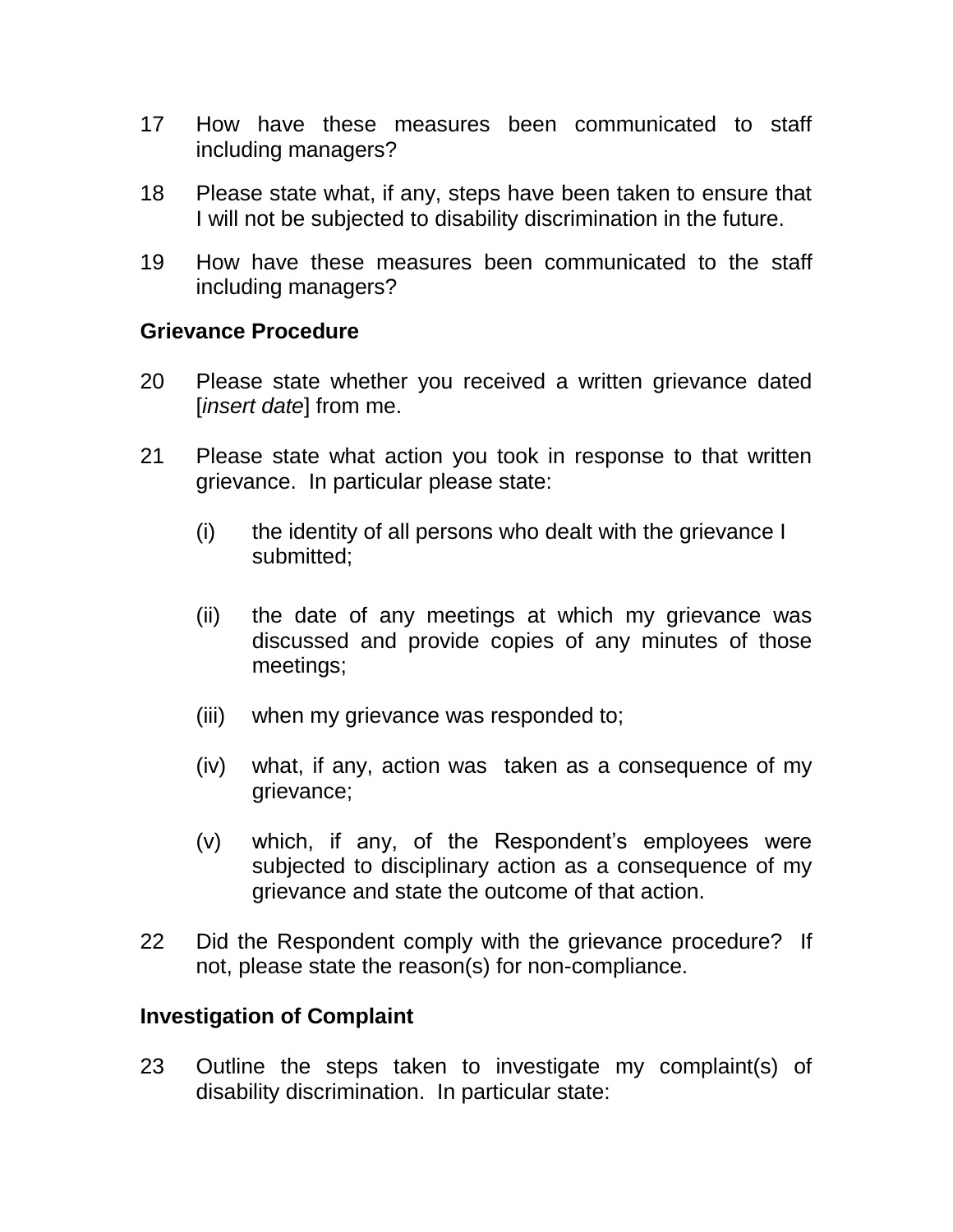- 17 How have these measures been communicated to staff including managers?
- 18 Please state what, if any, steps have been taken to ensure that I will not be subjected to disability discrimination in the future.
- 19 How have these measures been communicated to the staff including managers?

#### **Grievance Procedure**

- 20 Please state whether you received a written grievance dated [*insert date*] from me.
- 21 Please state what action you took in response to that written grievance. In particular please state:
	- (i) the identity of all persons who dealt with the grievance I submitted;
	- (ii) the date of any meetings at which my grievance was discussed and provide copies of any minutes of those meetings;
	- (iii) when my grievance was responded to;
	- (iv) what, if any, action was taken as a consequence of my grievance;
	- (v) which, if any, of the Respondent's employees were subjected to disciplinary action as a consequence of my grievance and state the outcome of that action.
- 22 Did the Respondent comply with the grievance procedure? If not, please state the reason(s) for non-compliance.

#### **Investigation of Complaint**

23 Outline the steps taken to investigate my complaint(s) of disability discrimination. In particular state: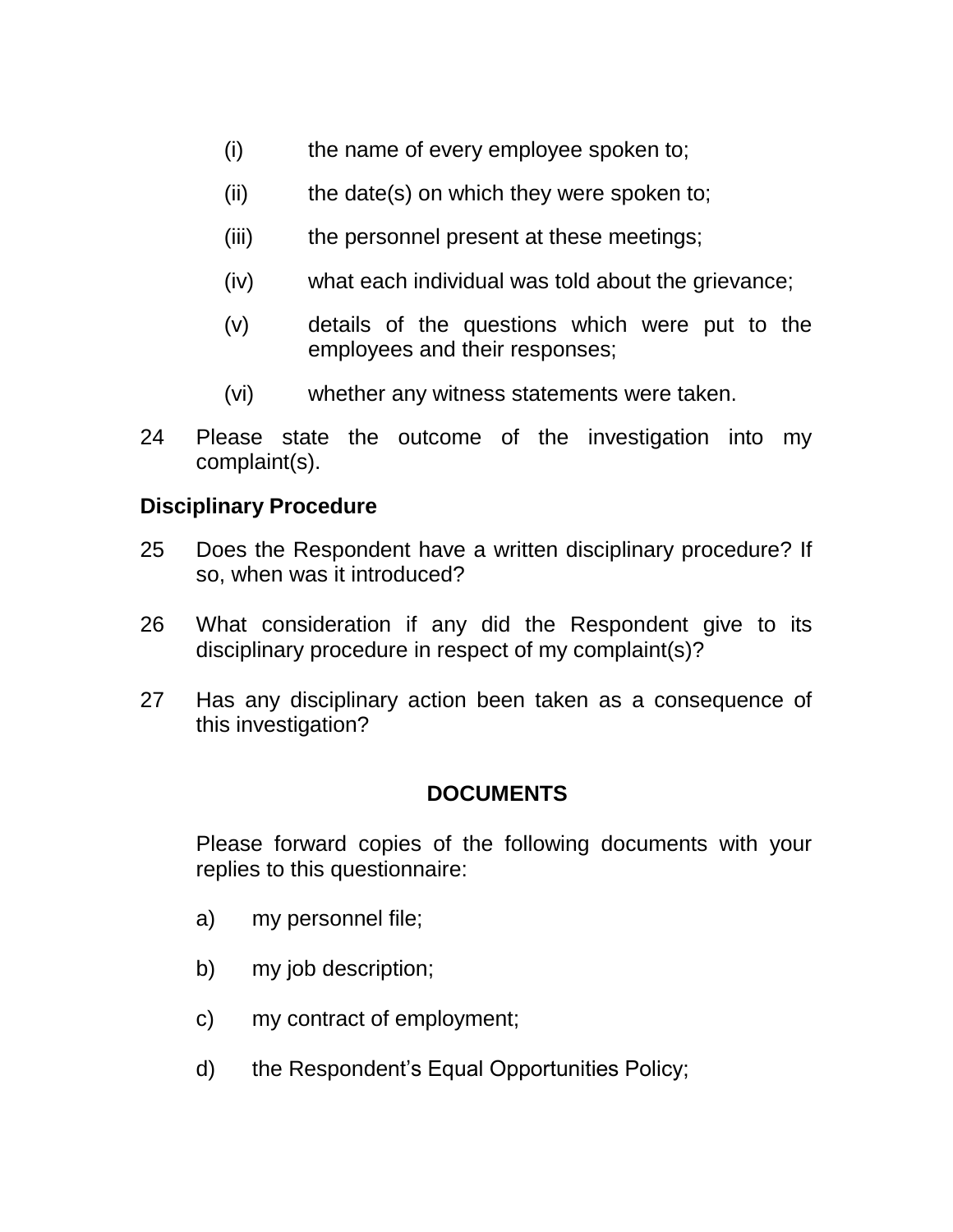- (i) the name of every employee spoken to;
- $(ii)$  the date(s) on which they were spoken to;
- (iii) the personnel present at these meetings;
- (iv) what each individual was told about the grievance;
- (v) details of the questions which were put to the employees and their responses;
- (vi) whether any witness statements were taken.
- 24 Please state the outcome of the investigation into my complaint(s).

#### **Disciplinary Procedure**

- 25 Does the Respondent have a written disciplinary procedure? If so, when was it introduced?
- 26 What consideration if any did the Respondent give to its disciplinary procedure in respect of my complaint(s)?
- 27 Has any disciplinary action been taken as a consequence of this investigation?

### **DOCUMENTS**

Please forward copies of the following documents with your replies to this questionnaire:

- a) my personnel file;
- b) my job description;
- c) my contract of employment;
- d) the Respondent's Equal Opportunities Policy;